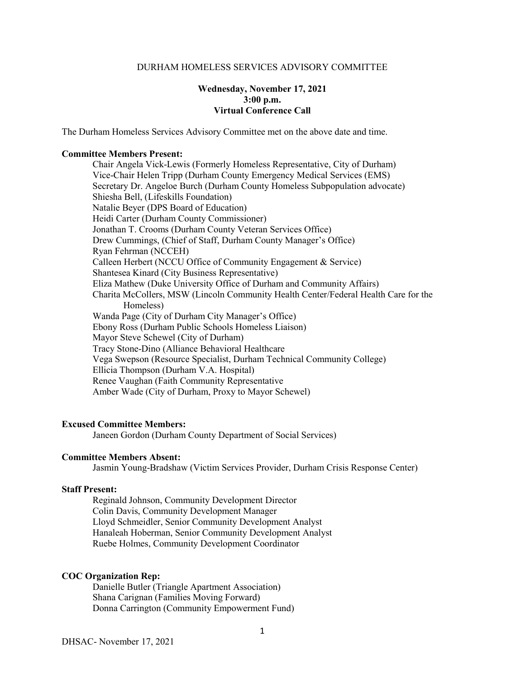## DURHAM HOMELESS SERVICES ADVISORY COMMITTEE

# **Wednesday, November 17, 2021 3:00 p.m. Virtual Conference Call**

The Durham Homeless Services Advisory Committee met on the above date and time.

#### **Committee Members Present:**

Chair Angela Vick-Lewis (Formerly Homeless Representative, City of Durham) Vice-Chair Helen Tripp (Durham County Emergency Medical Services (EMS) Secretary Dr. Angeloe Burch (Durham County Homeless Subpopulation advocate) Shiesha Bell, (Lifeskills Foundation) Natalie Beyer (DPS Board of Education) Heidi Carter (Durham County Commissioner) Jonathan T. Crooms (Durham County Veteran Services Office) Drew Cummings, (Chief of Staff, Durham County Manager's Office) Ryan Fehrman (NCCEH) Calleen Herbert (NCCU Office of Community Engagement & Service) Shantesea Kinard (City Business Representative) Eliza Mathew (Duke University Office of Durham and Community Affairs) Charita McCollers, MSW (Lincoln Community Health Center/Federal Health Care for the Homeless) Wanda Page (City of Durham City Manager's Office) Ebony Ross (Durham Public Schools Homeless Liaison) Mayor Steve Schewel (City of Durham) Tracy Stone-Dino (Alliance Behavioral Healthcare Vega Swepson (Resource Specialist, Durham Technical Community College) Ellicia Thompson (Durham V.A. Hospital) Renee Vaughan (Faith Community Representative Amber Wade (City of Durham, Proxy to Mayor Schewel)

#### **Excused Committee Members:**

Janeen Gordon (Durham County Department of Social Services)

## **Committee Members Absent:**

Jasmin Young-Bradshaw (Victim Services Provider, Durham Crisis Response Center)

# **Staff Present:**

Reginald Johnson, Community Development Director Colin Davis, Community Development Manager Lloyd Schmeidler, Senior Community Development Analyst Hanaleah Hoberman, Senior Community Development Analyst Ruebe Holmes, Community Development Coordinator

#### **COC Organization Rep:**

Danielle Butler (Triangle Apartment Association) Shana Carignan (Families Moving Forward) Donna Carrington (Community Empowerment Fund)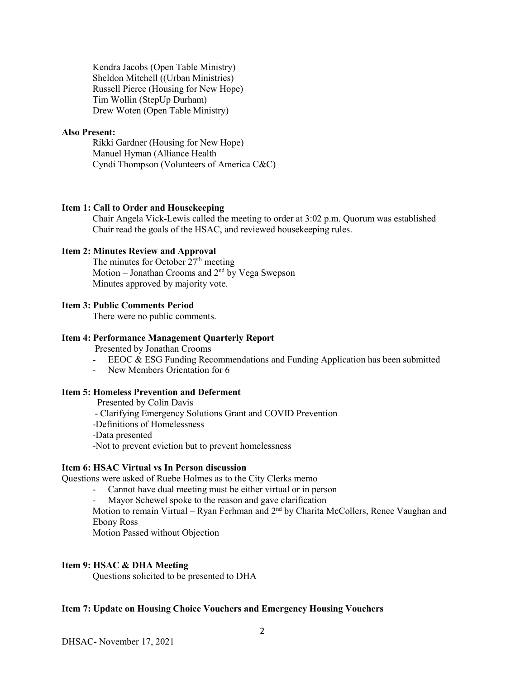Kendra Jacobs (Open Table Ministry) Sheldon Mitchell ((Urban Ministries) Russell Pierce (Housing for New Hope) Tim Wollin (StepUp Durham) Drew Woten (Open Table Ministry)

# **Also Present:**

Rikki Gardner (Housing for New Hope) Manuel Hyman (Alliance Health Cyndi Thompson (Volunteers of America C&C)

#### **Item 1: Call to Order and Housekeeping**

Chair Angela Vick-Lewis called the meeting to order at 3:02 p.m. Quorum was established Chair read the goals of the HSAC, and reviewed housekeeping rules.

## **Item 2: Minutes Review and Approval**

The minutes for October  $27<sup>th</sup>$  meeting Motion – Jonathan Crooms and  $2<sup>nd</sup>$  by Vega Swepson Minutes approved by majority vote.

# **Item 3: Public Comments Period**

There were no public comments.

#### **Item 4: Performance Management Quarterly Report**

Presented by Jonathan Crooms

- EEOC & ESG Funding Recommendations and Funding Application has been submitted
- New Members Orientation for 6

# **Item 5: Homeless Prevention and Deferment**

Presented by Colin Davis

- Clarifying Emergency Solutions Grant and COVID Prevention
- -Definitions of Homelessness
- -Data presented
- -Not to prevent eviction but to prevent homelessness

#### **Item 6: HSAC Virtual vs In Person discussion**

Questions were asked of Ruebe Holmes as to the City Clerks memo

- Cannot have dual meeting must be either virtual or in person
- Mayor Schewel spoke to the reason and gave clarification

Motion to remain Virtual – Ryan Ferhman and  $2<sup>nd</sup>$  by Charita McCollers, Renee Vaughan and Ebony Ross

Motion Passed without Objection

# **Item 9: HSAC & DHA Meeting**

Questions solicited to be presented to DHA

# **Item 7: Update on Housing Choice Vouchers and Emergency Housing Vouchers**